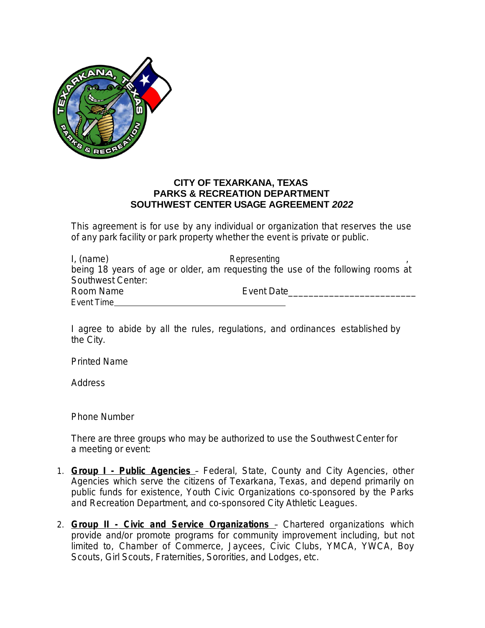

## **CITY OF TEXARKANA, TEXAS PARKS & RECREATION DEPARTMENT SOUTHWEST CENTER USAGE AGREEMENT** *2022*

This agreement is for use by any individual or organization that reserves the use of any park facility or park property whether the event is private or public.

| I, (name)         | Representing                                                                    |  |
|-------------------|---------------------------------------------------------------------------------|--|
|                   | being 18 years of age or older, am reguesting the use of the following rooms at |  |
| Southwest Center: |                                                                                 |  |
| Room Name         | Event Date                                                                      |  |
| Event Time        |                                                                                 |  |

I agree to abide by all the rules, regulations, and ordinances established by the City.

Printed Name

Address

Phone Number

There are three groups who may be authorized to use the Southwest Center for a meeting or event:

- 1. **Group I Public Agencies**  Federal, State, County and City Agencies, other Agencies which serve the citizens of Texarkana, Texas, and depend primarily on public funds for existence, Youth Civic Organizations co-sponsored by the Parks and Recreation Department, and co-sponsored City Athletic Leagues.
- 2. **Group II Civic and Service Organizations**  Chartered organizations which provide and/or promote programs for community improvement including, but not limited to, Chamber of Commerce, Jaycees, Civic Clubs, YMCA, YWCA, Boy Scouts, Girl Scouts, Fraternities, Sororities, and Lodges, etc.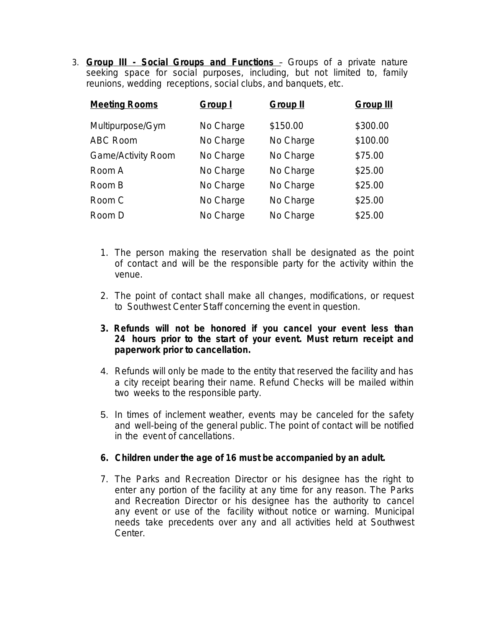3. **Group III - Social Groups and Functions** – Groups of a private nature seeking space for social purposes, including, but not limited to, family reunions, wedding receptions, social clubs, and banquets, etc.

| <b>Meeting Rooms</b>      | <b>Group I</b> | <b>Group II</b> | <b>Group III</b> |
|---------------------------|----------------|-----------------|------------------|
| Multipurpose/Gym          | No Charge      | \$150.00        | \$300.00         |
| <b>ABC Room</b>           | No Charge      | No Charge       | \$100.00         |
| <b>Game/Activity Room</b> | No Charge      | No Charge       | \$75.00          |
| Room A                    | No Charge      | No Charge       | \$25.00          |
| Room B                    | No Charge      | No Charge       | \$25.00          |
| Room C                    | No Charge      | No Charge       | \$25.00          |
| Room D                    | No Charge      | No Charge       | \$25.00          |

- 1. The person making the reservation shall be designated as the point of contact and will be the responsible party for the activity within the venue.
- 2. The point of contact shall make all changes, modifications, or request to Southwest Center Staff concerning the event in question.
- **3. Refunds will not be honored if you cancel your event less than 24 hours prior to the start of your event. Must return receipt and paperwork prior to cancellation.**
- 4. Refunds will only be made to the entity that reserved the facility and has a city receipt bearing their name. Refund Checks will be mailed within two weeks to the responsible party.
- 5. In times of inclement weather, events may be canceled for the safety and well-being of the general public. The point of contact will be notified in the event of cancellations.

## **6. Children under the age of 16 must be accompanied by an adult.**

7. The Parks and Recreation Director or his designee has the right to enter any portion of the facility at any time for any reason. The Parks and Recreation Director or his designee has the authority to cancel any event or use of the facility without notice or warning. Municipal needs take precedents over any and all activities held at Southwest Center.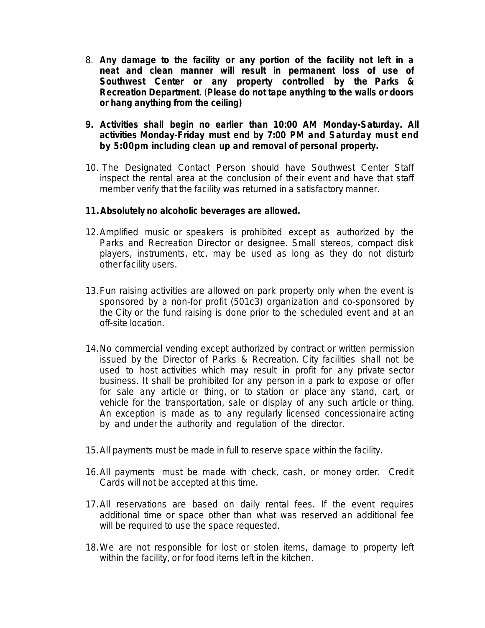- 8. **Any damage to the facility or any portion of the facility not left in a neat and clean manner will result in permanent loss of use of Southwest Center or any property controlled by the Parks & Recreation Department**. (**Please do not tape anything to the walls or doors or hang anything from the ceiling)**
- **9. Activities shall begin no earlier than 10:00 AM Monday-Saturday. All activities Monday-Friday must end by 7:00 PM and Saturday must end by 5:00pm including clean up and removal of personal property.**
- 10. The Designated Contact Person should have Southwest Center Staff inspect the rental area at the conclusion of their event and have that staff member verify that the facility was returned in a satisfactory manner.

## **11.Absolutely no alcoholic beverages are allowed.**

- 12.Amplified music or speakers is prohibited except as authorized by the Parks and Recreation Director or designee. Small stereos, compact disk players, instruments, etc. may be used as long as they do not disturb other facility users.
- 13.Fun raising activities are allowed on park property only when the event is sponsored by a non-for profit (501c3) organization and co-sponsored by the City or the fund raising is done prior to the scheduled event and at an off-site location.
- 14.No commercial vending except authorized by contract or written permission issued by the Director of Parks & Recreation. City facilities shall not be used to host activities which may result in profit for any private sector business. It shall be prohibited for any person in a park to expose or offer for sale any article or thing, or to station or place any stand, cart, or vehicle for the transportation, sale or display of any such article or thing. An exception is made as to any regularly licensed concessionaire acting by and under the authority and regulation of the director.
- 15.All payments must be made in full to reserve space within the facility.
- 16.All payments must be made with check, cash, or money order. Credit Cards will not be accepted at this time.
- 17.All reservations are based on daily rental fees. If the event requires additional time or space other than what was reserved an additional fee will be required to use the space requested.
- 18.We are not responsible for lost or stolen items, damage to property left within the facility, or for food items left in the kitchen.